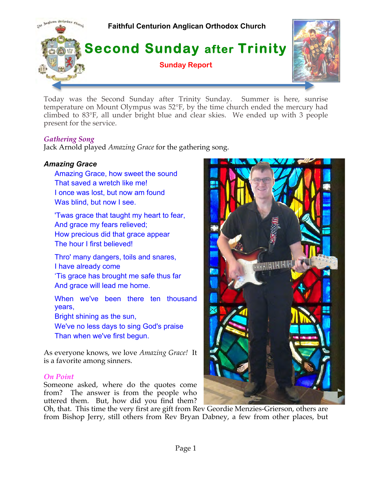

Today was the Second Sunday after Trinity Sunday. Summer is here, sunrise temperature on Mount Olympus was 52°F, by the time church ended the mercury had climbed to 83°F, all under bright blue and clear skies. We ended up with 3 people present for the service.

# *Gathering Song*

Jack Arnold played *Amazing Grace* for the gathering song.

# *Amazing Grace*

Amazing Grace, how sweet the sound That saved a wretch like me! I once was lost, but now am found Was blind, but now I see.

'Twas grace that taught my heart to fear, And grace my fears relieved; How precious did that grace appear The hour I first believed!

Thro' many dangers, toils and snares, I have already come 'Tis grace has brought me safe thus far

And grace will lead me home.

When we've been there ten thousand years,

Bright shining as the sun,

We've no less days to sing God's praise Than when we've first begun.

As everyone knows, we love *Amazing Grace!* It is a favorite among sinners.

### *On Point*

Someone asked, where do the quotes come from? The answer is from the people who uttered them. But, how did you find them?

Oh, that. This time the very first are gift from Rev Geordie Menzies-Grierson, others are from Bishop Jerry, still others from Rev Bryan Dabney, a few from other places, but

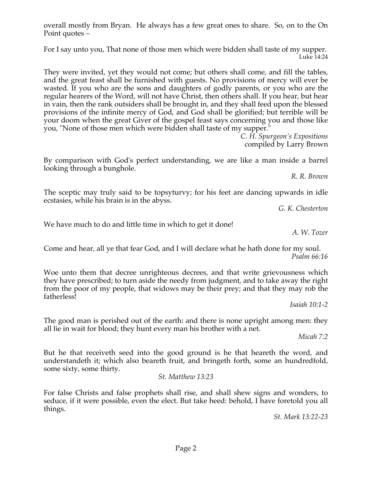Page 2

overall mostly from Bryan. He always has a few great ones to share. So, on to the On Point quotes –

For I say unto you, That none of those men which were bidden shall taste of my supper. Luke 14:24

They were invited, yet they would not come; but others shall come, and fill the tables, and the great feast shall be furnished with guests. No provisions of mercy will ever be wasted. If you who are the sons and daughters of godly parents, or you who are the regular hearers of the Word, will not have Christ, then others shall. If you hear, but hear in vain, then the rank outsiders shall be brought in, and they shall feed upon the blessed provisions of the infinite mercy of God, and God shall be glorified; but terrible will be your doom when the great Giver of the gospel feast says concerning you and those like you, "None of those men which were bidden shall taste of my supper."

*C. H. Spurgeon's Expositions*  compiled by Larry Brown

By comparison with God's perfect understanding, we are like a man inside a barrel looking through a bunghole.

*R. R. Brown*

The sceptic may truly said to be topsyturvy; for his feet are dancing upwards in idle ecstasies, while his brain is in the abyss.

*G. K. Chesterton*

We have much to do and little time in which to get it done!

*A. W. Tozer*

Come and hear, all ye that fear God, and I will declare what he hath done for my soul. *Psalm 66:16*

Woe unto them that decree unrighteous decrees, and that write grievousness which they have prescribed; to turn aside the needy from judgment, and to take away the right from the poor of my people, that widows may be their prey; and that they may rob the fatherless!

*Isaiah 10:1-2*

The good man is perished out of the earth: and there is none upright among men: they all lie in wait for blood; they hunt every man his brother with a net.

*Micah 7:2*

But he that receiveth seed into the good ground is he that heareth the word, and understandeth it; which also beareth fruit, and bringeth forth, some an hundredfold, some sixty, some thirty.

*St. Matthew 13:23*

For false Christs and false prophets shall rise, and shall shew signs and wonders, to seduce, if it were possible, even the elect. But take heed: behold, I have foretold you all things.

*St. Mark 13:22-23*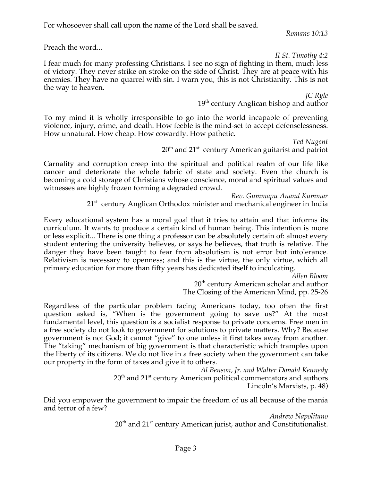For whosoever shall call upon the name of the Lord shall be saved.

*Romans 10:13*

Preach the word...

*II St. Timothy 4:2*

I fear much for many professing Christians. I see no sign of fighting in them, much less of victory. They never strike on stroke on the side of Christ. They are at peace with his enemies. They have no quarrel with sin. I warn you, this is not Christianity. This is not the way to heaven.

> *JC Ryle* 19<sup>th</sup> century Anglican bishop and author

To my mind it is wholly irresponsible to go into the world incapable of preventing violence, injury, crime, and death. How feeble is the mind-set to accept defenselessness. How unnatural. How cheap. How cowardly. How pathetic.

*Ted Nugent*  $20<sup>th</sup>$  and  $21<sup>st</sup>$  century American guitarist and patriot

Carnality and corruption creep into the spiritual and political realm of our life like cancer and deteriorate the whole fabric of state and society. Even the church is becoming a cold storage of Christians whose conscience, moral and spiritual values and witnesses are highly frozen forming a degraded crowd.

*Rev. Gummapu Anand Kummar*

21<sup>st</sup> century Anglican Orthodox minister and mechanical engineer in India

Every educational system has a moral goal that it tries to attain and that informs its curriculum. It wants to produce a certain kind of human being. This intention is more or less explicit... There is one thing a professor can be absolutely certain of: almost every student entering the university believes, or says he believes, that truth is relative. The danger they have been taught to fear from absolutism is not error but intolerance. Relativism is necessary to openness; and this is the virtue, the only virtue, which all primary education for more than fifty years has dedicated itself to inculcating.

*Allen Bloom*

20<sup>th</sup> century American scholar and author The Closing of the American Mind, pp. 25-26

Regardless of the particular problem facing Americans today, too often the first question asked is, "When is the government going to save us?" At the most fundamental level, this question is a socialist response to private concerns. Free men in a free society do not look to government for solutions to private matters. Why? Because government is not God; it cannot "give" to one unless it first takes away from another. The "taking" mechanism of big government is that characteristic which tramples upon the liberty of its citizens. We do not live in a free society when the government can take our property in the form of taxes and give it to others.

> *Al Benson, Jr. and Walter Donald Kennedy*  $20<sup>th</sup>$  and  $21<sup>st</sup>$  century American political commentators and authors Lincoln's Marxists, p. 48)

Did you empower the government to impair the freedom of us all because of the mania and terror of a few?

*Andrew Napolitano*  $20<sup>th</sup>$  and  $21<sup>st</sup>$  century American jurist, author and Constitutionalist.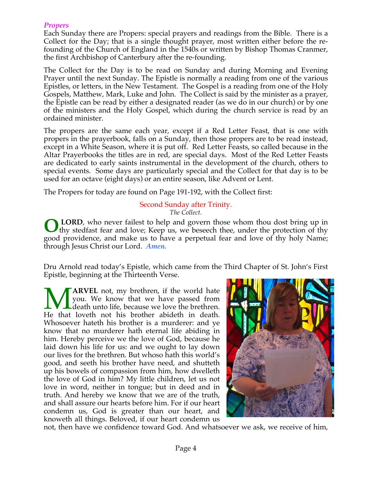# *Propers*

Each Sunday there are Propers: special prayers and readings from the Bible. There is a Collect for the Day; that is a single thought prayer, most written either before the refounding of the Church of England in the 1540s or written by Bishop Thomas Cranmer, the first Archbishop of Canterbury after the re-founding.

The Collect for the Day is to be read on Sunday and during Morning and Evening Prayer until the next Sunday. The Epistle is normally a reading from one of the various Epistles, or letters, in the New Testament. The Gospel is a reading from one of the Holy Gospels, Matthew, Mark, Luke and John. The Collect is said by the minister as a prayer, the Epistle can be read by either a designated reader (as we do in our church) or by one of the ministers and the Holy Gospel, which during the church service is read by an ordained minister.

The propers are the same each year, except if a Red Letter Feast, that is one with propers in the prayerbook, falls on a Sunday, then those propers are to be read instead, except in a White Season, where it is put off. Red Letter Feasts, so called because in the Altar Prayerbooks the titles are in red, are special days. Most of the Red Letter Feasts are dedicated to early saints instrumental in the development of the church, others to special events. Some days are particularly special and the Collect for that day is to be used for an octave (eight days) or an entire season, like Advent or Lent.

The Propers for today are found on Page 191-192, with the Collect first:

#### Second Sunday after Trinity. *The Collect.*

**LORD**, who never failest to help and govern those whom thou dost bring up in thy stedfast fear and love; Keep us, we beseech thee, under the protection of thy good providence, and make us to have a perpetual fear and love of thy holy Name; through Jesus Christ our Lord. *Amen.* **O**

Dru Arnold read today's Epistle, which came from the Third Chapter of St. John's First Epistle, beginning at the Thirteenth Verse.

**ARVEL** not, my brethren, if the world hate you. We know that we have passed from L death unto life, because we love the brethren. **MARVEL** not, my brethren, if the world hate you. We know that we have passed from death unto life, because we love the brethren. He that loveth not his brother abideth in death. Whosoever hateth his brother is a murderer: and ye know that no murderer hath eternal life abiding in him. Hereby perceive we the love of God, because he laid down his life for us: and we ought to lay down our lives for the brethren. But whoso hath this world's good, and seeth his brother have need, and shutteth up his bowels of compassion from him, how dwelleth the love of God in him? My little children, let us not love in word, neither in tongue; but in deed and in truth. And hereby we know that we are of the truth, and shall assure our hearts before him. For if our heart condemn us, God is greater than our heart, and knoweth all things. Beloved, if our heart condemn us



not, then have we confidence toward God. And whatsoever we ask, we receive of him,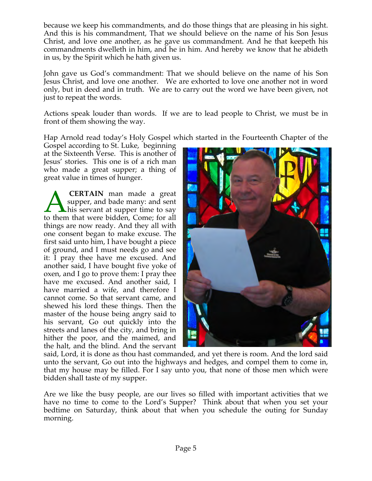because we keep his commandments, and do those things that are pleasing in his sight. And this is his commandment, That we should believe on the name of his Son Jesus Christ, and love one another, as he gave us commandment. And he that keepeth his commandments dwelleth in him, and he in him. And hereby we know that he abideth in us, by the Spirit which he hath given us.

John gave us God's commandment: That we should believe on the name of his Son Jesus Christ, and love one another. We are exhorted to love one another not in word only, but in deed and in truth. We are to carry out the word we have been given, not just to repeat the words.

Actions speak louder than words. If we are to lead people to Christ, we must be in front of them showing the way.

Hap Arnold read today's Holy Gospel which started in the Fourteenth Chapter of the

Gospel according to St. Luke, beginning at the Sixteenth Verse. This is another of Jesus' stories. This one is of a rich man who made a great supper; a thing of great value in times of hunger.

**CERTAIN** man made a great supper, and bade many: and sent his servant at supper time to say **CERTAIN** man made a great<br>supper, and bade many: and sent<br>to them that were bidden, Come; for all things are now ready. And they all with one consent began to make excuse. The first said unto him, I have bought a piece of ground, and I must needs go and see it: I pray thee have me excused. And another said, I have bought five yoke of oxen, and I go to prove them: I pray thee have me excused. And another said, I have married a wife, and therefore I cannot come. So that servant came, and shewed his lord these things. Then the master of the house being angry said to his servant, Go out quickly into the streets and lanes of the city, and bring in hither the poor, and the maimed, and the halt, and the blind. And the servant



said, Lord, it is done as thou hast commanded, and yet there is room. And the lord said unto the servant, Go out into the highways and hedges, and compel them to come in, that my house may be filled. For I say unto you, that none of those men which were bidden shall taste of my supper.

Are we like the busy people, are our lives so filled with important activities that we have no time to come to the Lord's Supper? Think about that when you set your bedtime on Saturday, think about that when you schedule the outing for Sunday morning.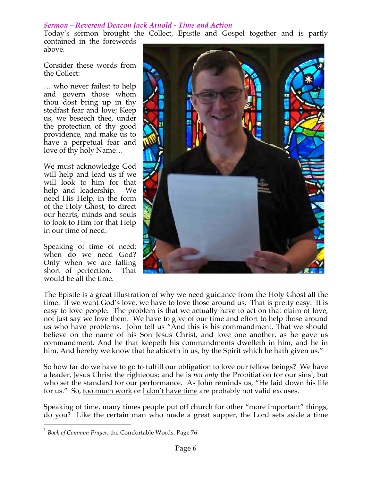### *Sermon – Reverend Deacon Jack Arnold - Time and Action*

Today's sermon brought the Collect, Epistle and Gospel together and is partly contained in the forewords above.

Consider these words from the Collect:

… who never failest to help and govern those whom thou dost bring up in thy stedfast fear and love; Keep us, we beseech thee, under the protection of thy good providence, and make us to have a perpetual fear and love of thy holy Name…

We must acknowledge God will help and lead us if we will look to him for that help and leadership. We need His Help, in the form of the Holy Ghost, to direct our hearts, minds and souls to look to Him for that Help in our time of need.

Speaking of time of need; when do we need God? Only when we are falling short of perfection. That would be all the time.



The Epistle is a great illustration of why we need guidance from the Holy Ghost all the time. If we want God's love, we have to love those around us. That is pretty easy. It is easy to love people. The problem is that we actually have to act on that claim of love, not just say we love them. We have to give of our time and effort to help those around us who have problems. John tell us "And this is his commandment, That we should believe on the name of his Son Jesus Christ, and love one another, as he gave us commandment. And he that keepeth his commandments dwelleth in him, and he in him. And hereby we know that he abideth in us, by the Spirit which he hath given us."

So how far do we have to go to fulfill our obligation to love our fellow beings? We have a leader, Jesus Christ the righteous; and he is *not only* the Propitiation for our sins<sup>1</sup>, but who set the standard for our performance. As John reminds us, "He laid down his life for us." So, too much work or I don't have time are probably not valid excuses.

Speaking of time, many times people put off church for other "more important" things, do you? Like the certain man who made a great supper, the Lord sets aside a time

 <sup>1</sup> *Book of Common Prayer,* the Comfortable Words, Page 76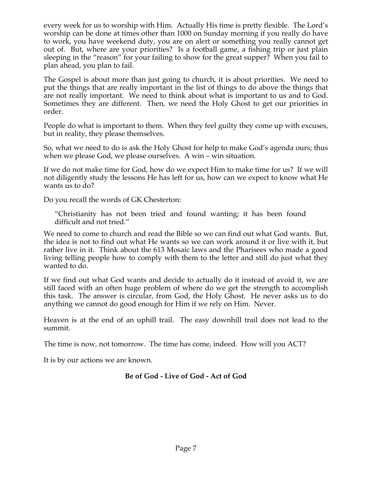every week for us to worship with Him. Actually His time is pretty flexible. The Lord's worship can be done at times other than 1000 on Sunday morning if you really do have to work, you have weekend duty, you are on alert or something you really cannot get out of. But, where are your priorities? Is a football game, a fishing trip or just plain sleeping in the "reason" for your failing to show for the great supper? When you fail to plan ahead, you plan to fail.

The Gospel is about more than just going to church, it is about priorities. We need to put the things that are really important in the list of things to do above the things that are not really important. We need to think about what is important to us and to God. Sometimes they are different. Then, we need the Holy Ghost to get our priorities in order.

People do what is important to them. When they feel guilty they come up with excuses, but in reality, they please themselves.

So, what we need to do is ask the Holy Ghost for help to make God's agenda ours; thus when we please God, we please ourselves. A win – win situation.

If we do not make time for God, how do we expect Him to make time for us? If we will not diligently study the lessons He has left for us, how can we expect to know what He wants us to do?

Do you recall the words of GK Chesterton:

"Christianity has not been tried and found wanting; it has been found difficult and not tried."

We need to come to church and read the Bible so we can find out what God wants. But, the idea is not to find out what He wants so we can work around it or live with it, but rather live in it. Think about the 613 Mosaic laws and the Pharisees who made a good living telling people how to comply with them to the letter and still do just what they wanted to do.

If we find out what God wants and decide to actually do it instead of avoid it, we are still faced with an often huge problem of where do we get the strength to accomplish this task. The answer is circular, from God, the Holy Ghost. He never asks us to do anything we cannot do good enough for Him if we rely on Him. Never.

Heaven is at the end of an uphill trail. The easy downhill trail does not lead to the summit.

The time is now, not tomorrow. The time has come, indeed. How will you ACT?

It is by our actions we are known.

# **Be of God - Live of God - Act of God**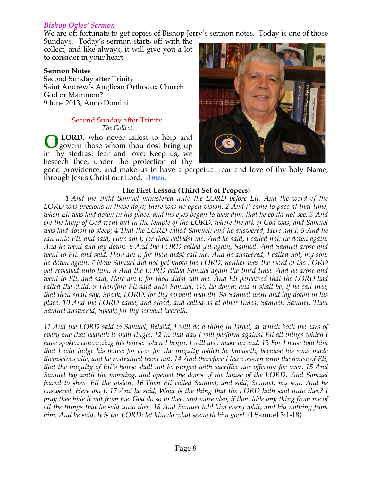### *Bishop Ogles' Sermon*

We are oft fortunate to get copies of Bishop Jerry's sermon notes. Today is one of those

Sundays. Today's sermon starts off with the collect, and like always, it will give you a lot to consider in your heart.

#### **Sermon Notes**

Second Sunday after Trinity Saint Andrew's Anglican Orthodox Church God or Mammon? 9 June 2013, Anno Domini

#### Second Sunday after Trinity. *The Collect.*

**LORD**, who never failest to help and govern those whom thou dost bring up in thy stedfast fear and love; Keep us, we beseech thee, under the protection of thy **O**



good providence, and make us to have a perpetual fear and love of thy holy Name; through Jesus Christ our Lord. *Amen.*

### **The First Lesson (Third Set of Propers)**

*1 And the child Samuel ministered unto the LORD before Eli. And the word of the LORD was precious in those days; there was no open vision. 2 And it came to pass at that time, when Eli was laid down in his place, and his eyes began to wax dim, that he could not see; 3 And ere the lamp of God went out in the temple of the LORD, where the ark of God was, and Samuel was laid down to sleep; 4 That the LORD called Samuel: and he answered, Here am I. 5 And he ran unto Eli, and said, Here am I; for thou calledst me. And he said, I called not; lie down again. And he went and lay down. 6 And the LORD called yet again, Samuel. And Samuel arose and went to Eli, and said, Here am I; for thou didst call me. And he answered, I called not, my son; lie down again. 7 Now Samuel did not yet know the LORD, neither was the word of the LORD yet revealed unto him. 8 And the LORD called Samuel again the third time. And he arose and went to Eli, and said, Here am I; for thou didst call me. And Eli perceived that the LORD had called the child. 9 Therefore Eli said unto Samuel, Go, lie down: and it shall be, if he call thee, that thou shalt say, Speak, LORD; for thy servant heareth. So Samuel went and lay down in his place. 10 And the LORD came, and stood, and called as at other times, Samuel, Samuel. Then Samuel answered, Speak; for thy servant heareth.*

*11 And the LORD said to Samuel, Behold, I will do a thing in Israel, at which both the ears of every one that heareth it shall tingle. 12 In that day I will perform against Eli all things which I have spoken concerning his house: when I begin, I will also make an end. 13 For I have told him that I will judge his house for ever for the iniquity which he knoweth; because his sons made themselves vile, and he restrained them not. 14 And therefore I have sworn unto the house of Eli, that the iniquity of Eli's house shall not be purged with sacrifice nor offering for ever. 15 And Samuel lay until the morning, and opened the doors of the house of the LORD. And Samuel feared to shew Eli the vision. 16 Then Eli called Samuel, and said, Samuel, my son. And he answered, Here am I. 17 And he said, What is the thing that the LORD hath said unto thee? I pray thee hide it not from me: God do so to thee, and more also, if thou hide any thing from me of all the things that he said unto thee. 18 And Samuel told him every whit, and hid nothing from him. And he said, It is the LORD: let him do what seemeth him good*. (I Samuel 3:1-18)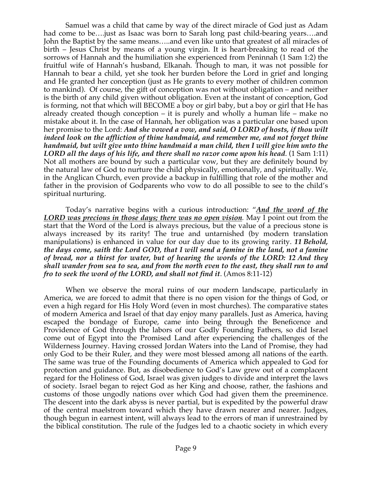Samuel was a child that came by way of the direct miracle of God just as Adam had come to be….just as Isaac was born to Sarah long past child-bearing years….and John the Baptist by the same means…..and even like unto that greatest of all miracles of birth – Jesus Christ by means of a young virgin. It is heart-breaking to read of the sorrows of Hannah and the humiliation she experienced from Peninnah (1 Sam 1:2) the fruitful wife of Hannah's husband, Elkanah. Though to man, it was not possible for Hannah to bear a child, yet she took her burden before the Lord in grief and longing and He granted her conception (just as He grants to every mother of children common to mankind). Of course, the gift of conception was not without obligation – and neither is the birth of any child given without obligation. Even at the instant of conception, God is forming, not that which will BECOME a boy or girl baby, but a boy or girl that He has already created though conception – it is purely and wholly a human life – make no mistake about it. In the case of Hannah, her obligation was a particular one based upon her promise to the Lord: *And she vowed a vow, and said, O LORD of hosts, if thou wilt indeed look on the affliction of thine handmaid, and remember me, and not forget thine handmaid, but wilt give unto thine handmaid a man child, then I will give him unto the LORD all the days of his life, and there shall no razor come upon his head*. (1 Sam 1:11) Not all mothers are bound by such a particular vow, but they are definitely bound by the natural law of God to nurture the child physically, emotionally, and spiritually. We, in the Anglican Church, even provide a backup in fulfilling that role of the mother and father in the provision of Godparents who vow to do all possible to see to the child's spiritual nurturing.

Today's narrative begins with a curious introduction: "*And the word of the LORD was precious in those days; there was no open vision.* May I point out from the start that the Word of the Lord is always precious, but the value of a precious stone is always increased by its rarity! The true and untarnished (by modern translation manipulations) is enhanced in value for our day due to its growing rarity. *11 Behold, the days come, saith the Lord GOD, that I will send a famine in the land, not a famine of bread, nor a thirst for water, but of hearing the words of the LORD: 12 And they shall wander from sea to sea, and from the north even to the east, they shall run to and fro to seek the word of the LORD, and shall not find it*. (Amos 8:11-12)

When we observe the moral ruins of our modern landscape, particularly in America, we are forced to admit that there is no open vision for the things of God, or even a high regard for His Holy Word (even in most churches). The comparative states of modern America and Israel of that day enjoy many parallels. Just as America, having escaped the bondage of Europe, came into being through the Beneficence and Providence of God through the labors of our Godly Founding Fathers, so did Israel come out of Egypt into the Promised Land after experiencing the challenges of the Wilderness Journey. Having crossed Jordan Waters into the Land of Promise, they had only God to be their Ruler, and they were most blessed among all nations of the earth. The same was true of the Founding documents of America which appealed to God for protection and guidance. But, as disobedience to God's Law grew out of a complacent regard for the Holiness of God, Israel was given judges to divide and interpret the laws of society. Israel began to reject God as her King and choose, rather, the fashions and customs of those ungodly nations over which God had given them the preeminence. The descent into the dark abyss is never partial, but is expedited by the powerful draw of the central maelstrom toward which they have drawn nearer and nearer. Judges, though begun in earnest intent, will always lead to the errors of man if unrestrained by the biblical constitution. The rule of the Judges led to a chaotic society in which every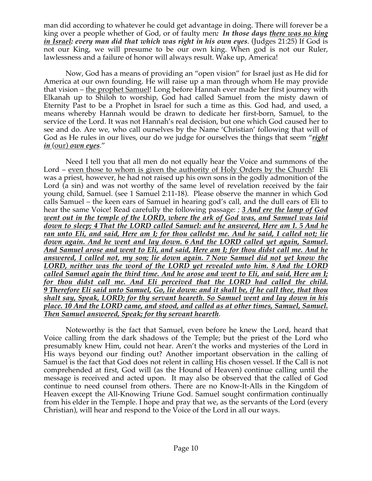man did according to whatever he could get advantage in doing. There will forever be a king over a people whether of God, or of faulty men*: In those days there was no king in Israel: every man did that which was right in his own eyes*. (Judges 21:25) If God is not our King, we will presume to be our own king. When god is not our Ruler, lawlessness and a failure of honor will always result. Wake up, America!

Now, God has a means of providing an "open vision" for Israel just as He did for America at our own founding. He will raise up a man through whom He may provide that vision – the prophet Samuel! Long before Hannah ever made her first journey with Elkanah up to Shiloh to worship, God had called Samuel from the misty dawn of Eternity Past to be a Prophet in Israel for such a time as this. God had, and used, a means whereby Hannah would be drawn to dedicate her first-born, Samuel, to the service of the Lord. It was not Hannah's real decision, but one which God caused her to see and do. Are we, who call ourselves by the Name 'Christian' following that will of God as He rules in our lives, our do we judge for ourselves the things that seem "*right in* (our) *own eyes*."

Need I tell you that all men do not equally hear the Voice and summons of the Lord – even those to whom is given the authority of Holy Orders by the Church! Eli was a priest, however, he had not raised up his own sons in the godly admonition of the Lord (a sin) and was not worthy of the same level of revelation received by the fair young child, Samuel. (see 1 Samuel 2:11-18). Please observe the manner in which God calls Samuel – the keen ears of Samuel in hearing god's call, and the dull ears of Eli to hear the same Voice! Read carefully the following passage: *; 3 And ere the lamp of God went out in the temple of the LORD, where the ark of God was, and Samuel was laid down to sleep; 4 That the LORD called Samuel: and he answered, Here am I. 5 And he ran unto Eli, and said, Here am I; for thou calledst me. And he said, I called not; lie down again. And he went and lay down. 6 And the LORD called yet again, Samuel. And Samuel arose and went to Eli, and said, Here am I; for thou didst call me. And he answered, I called not, my son; lie down again. 7 Now Samuel did not yet know the LORD, neither was the word of the LORD yet revealed unto him. 8 And the LORD called Samuel again the third time. And he arose and went to Eli, and said, Here am I; for thou didst call me. And Eli perceived that the LORD had called the child. 9 Therefore Eli said unto Samuel, Go, lie down: and it shall be, if he call thee, that thou shalt say, Speak, LORD; for thy servant heareth. So Samuel went and lay down in his place. 10 And the LORD came, and stood, and called as at other times, Samuel, Samuel. Then Samuel answered, Speak; for thy servant heareth.*

Noteworthy is the fact that Samuel, even before he knew the Lord, heard that Voice calling from the dark shadows of the Temple; but the priest of the Lord who presumably knew Him, could not hear. Aren't the works and mysteries of the Lord in His ways beyond our finding out? Another important observation in the calling of Samuel is the fact that God does not relent in calling His chosen vessel. If the Call is not comprehended at first, God will (as the Hound of Heaven) continue calling until the message is received and acted upon. It may also be observed that the called of God continue to need counsel from others. There are no Know-It-Alls in the Kingdom of Heaven except the All-Knowing Triune God. Samuel sought confirmation continually from his elder in the Temple. I hope and pray that we, as the servants of the Lord (every Christian), will hear and respond to the Voice of the Lord in all our ways.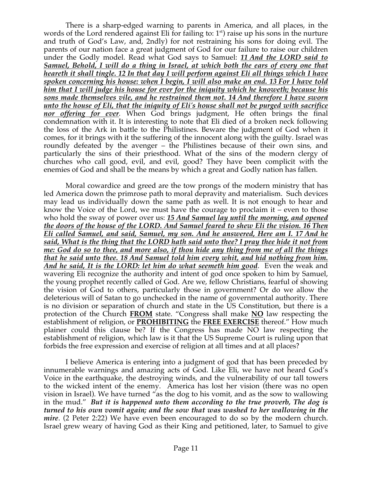There is a sharp-edged warning to parents in America, and all places, in the words of the Lord rendered against Eli for failing to:  $1<sup>st</sup>$ ) raise up his sons in the nurture and truth of God's Law, and, 2ndly) for not restraining his sons for doing evil. The parents of our nation face a great judgment of God for our failure to raise our children under the Godly model. Read what God says to Samuel: *11 And the LORD said to Samuel, Behold, I will do a thing in Israel, at which both the ears of every one that heareth it shall tingle. 12 In that day I will perform against Eli all things which I have spoken concerning his house: when I begin, I will also make an end. 13 For I have told him that I will judge his house for ever for the iniquity which he knoweth; because his sons made themselves vile, and he restrained them not. 14 And therefore I have sworn unto the house of Eli, that the iniquity of Eli's house shall not be purged with sacrifice nor offering for ever.* When God brings judgment, He often brings the final condemnation with it. It is interesting to note that Eli died of a broken neck following the loss of the Ark in battle to the Philistines. Beware the judgment of God when it comes, for it brings with it the suffering of the innocent along with the guilty. Israel was roundly defeated by the avenger – the Philistines because of their own sins, and particularly the sins of their priesthood. What of the sins of the modern clergy of churches who call good, evil, and evil, good? They have been complicit with the enemies of God and shall be the means by which a great and Godly nation has fallen.

Moral cowardice and greed are the tow prongs of the modern ministry that has led America down the primrose path to moral depravity and materialism. Such devices may lead us individually down the same path as well. It is not enough to hear and know the Voice of the Lord, we must have the courage to proclaim it  $\frac{1}{x}$  even to those who hold the sway of power over us: *15 And Samuel lay until the morning, and opened the doors of the house of the LORD. And Samuel feared to shew Eli the vision. 16 Then Eli called Samuel, and said, Samuel, my son. And he answered, Here am I. 17 And he said, What is the thing that the LORD hath said unto thee? I pray thee hide it not from me: God do so to thee, and more also, if thou hide any thing from me of all the things that he said unto thee. 18 And Samuel told him every whit, and hid nothing from him. And he said, It is the LORD: let him do what seemeth him good*. Even the weak and wavering Eli recognize the authority and intent of god once spoken to him by Samuel, the young prophet recently called of God. Are we, fellow Christians, fearful of showing the vision of God to others, particularly those in government? Or do we allow the deleterious will of Satan to go unchecked in the name of governmental authority. There is no division or separation of church and state in the US Constitution, but there is a protection of the Church **FROM** state. "Congress shall make **NO** law respecting the establishment of religion, or **PROHIBITING** the **FREE EXERCISE** thereof." How much plainer could this clause be? If the Congress has made NO law respecting the establishment of religion, which law is it that the US Supreme Court is ruling upon that forbids the free expression and exercise of religion at all times and at all places?

I believe America is entering into a judgment of god that has been preceded by innumerable warnings and amazing acts of God. Like Eli, we have not heard God's Voice in the earthquake, the destroying winds, and the vulnerability of our tall towers to the wicked intent of the enemy. America has lost her vision (there was no open vision in Israel). We have turned "as the dog to his vomit, and as the sow to wallowing in the mud." *But it is happened unto them according to the true proverb, The dog is turned to his own vomit again; and the sow that was washed to her wallowing in the mire*. (2 Peter 2:22) We have even been encouraged to do so by the modern church. Israel grew weary of having God as their King and petitioned, later, to Samuel to give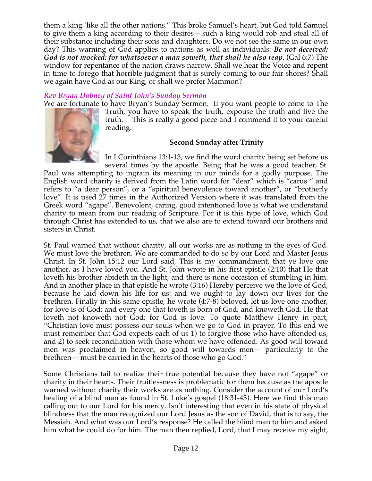them a king 'like all the other nations." This broke Samuel's heart, but God told Samuel to give them a king according to their desires – such a king would rob and steal all of their substance including their sons and daughters. Do we not see the same in our own day? This warning of God applies to nations as well as individuals: *Be not deceived; God is not mocked: for whatsoever a man soweth, that shall he also reap*. (Gal 6:7) The window for repentance of the nation draws narrow. Shall we hear the Voice and repent in time to forego that horrible judgment that is surely coming to our fair shores? Shall we again have God as our King, or shall we prefer Mammon?

# *Rev Bryan Dabney of Saint John's Sunday Sermon*

We are fortunate to have Bryan's Sunday Sermon. If you want people to come to The



Truth, you have to speak the truth, expouse the truth and live the truth. This is really a good piece and I commend it to your careful reading.

# **Second Sunday after Trinity**

In I Corinthians 13:1-13, we find the word charity being set before us several times by the apostle. Being that he was a good teacher, St.

Paul was attempting to ingrain its meaning in our minds for a godly purpose. The English word charity is derived from the Latin word for "dear" which is "carus " and refers to "a dear person", or a "spiritual benevolence toward another", or "brotherly love". It is used 27 times in the Authorized Version where it was translated from the Greek word "agape". Benevolent, caring, good intentioned love is what we understand charity to mean from our reading of Scripture. For it is this type of love, which God through Christ has extended to us, that we also are to extend toward our brothers and sisters in Christ.

St. Paul warned that without charity, all our works are as nothing in the eyes of God. We must love the brethren. We are commanded to do so by our Lord and Master Jesus Christ. In St. John 15:12 our Lord said, This is my commandment, that ye love one another, as I have loved you. And St. John wrote in his first epistle (2:10) that He that loveth his brother abideth in the light, and there is none occasion of stumbling in him. And in another place in that epistle he wrote (3:16) Hereby perceive we the love of God, because he laid down his life for us: and we ought to lay down our lives for the brethren. Finally in this same epistle, he wrote (4:7-8) beloved, let us love one another, for love is of God; and every one that loveth is born of God, and knoweth God. He that loveth not knoweth not God; for God is love. To quote Matthew Henry in part, "Christian love must possess our souls when we go to God in prayer. To this end we must remember that God expects each of us 1) to forgive those who have offended us, and 2) to seek reconciliation with those whom we have offended. As good will toward men was proclaimed in heaven, so good will towards men— particularly to the brethren— must be carried in the hearts of those who go God."

Some Christians fail to realize their true potential because they have not "agape" or charity in their hearts. Their fruitlessness is problematic for them because as the apostle warned without charity their works are as nothing. Consider the account of our Lord's healing of a blind man as found in St. Luke's gospel (18:31-43). Here we find this man calling out to our Lord for his mercy. Isn't interesting that even in his state of physical blindness that the man recognized our Lord Jesus as the son of David, that is to say, the Messiah. And what was our Lord's response? He called the blind man to him and asked him what he could do for him. The man then replied, Lord, that I may receive my sight,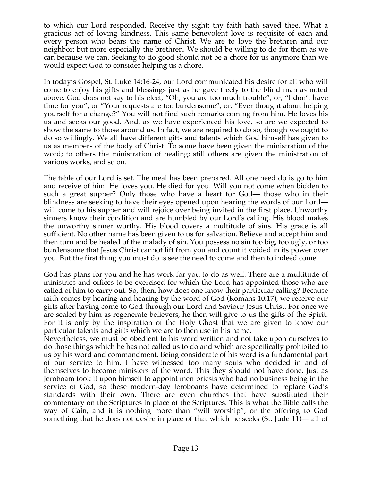to which our Lord responded, Receive thy sight: thy faith hath saved thee. What a gracious act of loving kindness. This same benevolent love is requisite of each and every person who bears the name of Christ. We are to love the brethren and our neighbor; but more especially the brethren. We should be willing to do for them as we can because we can. Seeking to do good should not be a chore for us anymore than we would expect God to consider helping us a chore.

In today's Gospel, St. Luke 14:16-24, our Lord communicated his desire for all who will come to enjoy his gifts and blessings just as he gave freely to the blind man as noted above. God does not say to his elect, "Oh, you are too much trouble", or, "I don't have time for you", or "Your requests are too burdensome", or, "Ever thought about helping yourself for a change?" You will not find such remarks coming from him. He loves his us and seeks our good. And, as we have experienced his love, so are we expected to show the same to those around us. In fact, we are required to do so, though we ought to do so willingly. We all have different gifts and talents which God himself has given to us as members of the body of Christ. To some have been given the ministration of the word; to others the ministration of healing; still others are given the ministration of various works, and so on.

The table of our Lord is set. The meal has been prepared. All one need do is go to him and receive of him. He loves you. He died for you. Will you not come when bidden to such a great supper? Only those who have a heart for God— those who in their blindness are seeking to have their eyes opened upon hearing the words of our Lord will come to his supper and will rejoice over being invited in the first place. Unworthy sinners know their condition and are humbled by our Lord's calling. His blood makes the unworthy sinner worthy. His blood covers a multitude of sins. His grace is all sufficient. No other name has been given to us for salvation. Believe and accept him and then turn and be healed of the malady of sin. You possess no sin too big, too ugly, or too burdensome that Jesus Christ cannot lift from you and count it voided in its power over you. But the first thing you must do is see the need to come and then to indeed come.

God has plans for you and he has work for you to do as well. There are a multitude of ministries and offices to be exercised for which the Lord has appointed those who are called of him to carry out. So, then, how does one know their particular calling? Because faith comes by hearing and hearing by the word of God (Romans 10:17), we receive our gifts after having come to God through our Lord and Saviour Jesus Christ. For once we are sealed by him as regenerate believers, he then will give to us the gifts of the Spirit. For it is only by the inspiration of the Holy Ghost that we are given to know our particular talents and gifts which we are to then use in his name.

Nevertheless, we must be obedient to his word written and not take upon ourselves to do those things which he has not called us to do and which are specifically prohibited to us by his word and commandment. Being considerate of his word is a fundamental part of our service to him. I have witnessed too many souls who decided in and of themselves to become ministers of the word. This they should not have done. Just as Jeroboam took it upon himself to appoint men priests who had no business being in the service of God, so these modern-day Jeroboams have determined to replace God's standards with their own. There are even churches that have substituted their commentary on the Scriptures in place of the Scriptures. This is what the Bible calls the way of Cain, and it is nothing more than "will worship", or the offering to God something that he does not desire in place of that which he seeks (St. Jude 11)— all of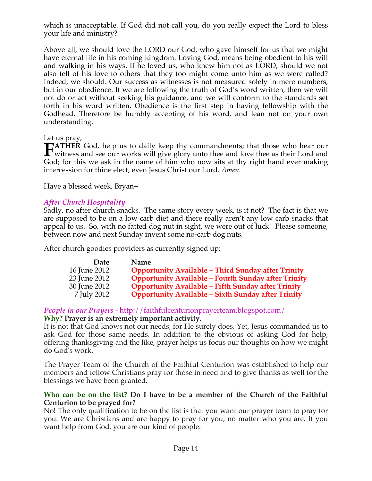which is unacceptable. If God did not call you, do you really expect the Lord to bless your life and ministry?

Above all, we should love the LORD our God, who gave himself for us that we might have eternal life in his coming kingdom. Loving God, means being obedient to his will and walking in his ways. If he loved us, who knew him not as LORD, should we not also tell of his love to others that they too might come unto him as we were called? Indeed, we should. Our success as witnesses is not measured solely in mere numbers, but in our obedience. If we are following the truth of God's word written, then we will not do or act without seeking his guidance, and we will conform to the standards set forth in his word written. Obedience is the first step in having fellowship with the Godhead. Therefore be humbly accepting of his word, and lean not on your own understanding.

# Let us pray,

**ATHER** God, help us to daily keep thy commandments; that those who hear our **FATHER** God, help us to daily keep thy commandments; that those who hear our witness and see our works will give glory unto thee and love thee as their Lord and  $\overline{G}$ God; for this we ask in the name of him who now sits at thy right hand ever making intercession for thine elect, even Jesus Christ our Lord. *Amen.* 

Have a blessed week, Bryan+

# *After Church Hospitality*

Sadly, no after church snacks. The same story every week, is it not? The fact is that we are supposed to be on a low carb diet and there really aren't any low carb snacks that appeal to us. So, with no fatted dog nut in sight, we were out of luck! Please someone, between now and next Sunday invent some no-carb dog nuts.

After church goodies providers as currently signed up:

| Date         | <b>Name</b>                                                |
|--------------|------------------------------------------------------------|
| 16 June 2012 | <b>Opportunity Available - Third Sunday after Trinity</b>  |
| 23 June 2012 | <b>Opportunity Available - Fourth Sunday after Trinity</b> |
| 30 June 2012 | <b>Opportunity Available - Fifth Sunday after Trinity</b>  |
| 7 July 2012  | <b>Opportunity Available - Sixth Sunday after Trinity</b>  |

# *People in our Prayers* - http://faithfulcenturionprayerteam.blogspot.com/

### **Why? Prayer is an extremely important activity.**

It is not that God knows not our needs, for He surely does. Yet, Jesus commanded us to ask God for those same needs. In addition to the obvious of asking God for help, offering thanksgiving and the like, prayer helps us focus our thoughts on how we might do God's work.

The Prayer Team of the Church of the Faithful Centurion was established to help our members and fellow Christians pray for those in need and to give thanks as well for the blessings we have been granted.

### **Who can be on the list? Do I have to be a member of the Church of the Faithful Centurion to be prayed for?**

No! The only qualification to be on the list is that you want our prayer team to pray for you. We are Christians and are happy to pray for you, no matter who you are. If you want help from God, you are our kind of people.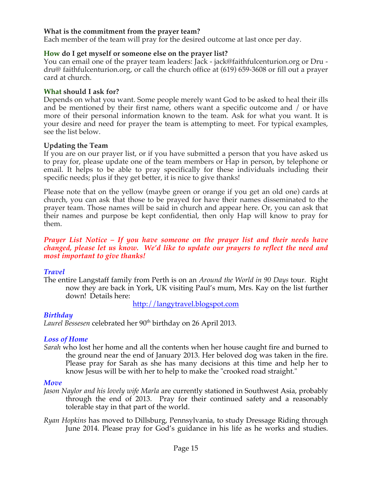# **What is the commitment from the prayer team?**

Each member of the team will pray for the desired outcome at last once per day.

#### **How do I get myself or someone else on the prayer list?**

You can email one of the prayer team leaders: Jack - jack@faithfulcenturion.org or Dru dru@ faithfulcenturion.org, or call the church office at (619) 659-3608 or fill out a prayer card at church.

#### **What should I ask for?**

Depends on what you want. Some people merely want God to be asked to heal their ills and be mentioned by their first name, others want a specific outcome and / or have more of their personal information known to the team. Ask for what you want. It is your desire and need for prayer the team is attempting to meet. For typical examples, see the list below.

#### **Updating the Team**

If you are on our prayer list, or if you have submitted a person that you have asked us to pray for, please update one of the team members or Hap in person, by telephone or email. It helps to be able to pray specifically for these individuals including their specific needs; plus if they get better, it is nice to give thanks!

Please note that on the yellow (maybe green or orange if you get an old one) cards at church, you can ask that those to be prayed for have their names disseminated to the prayer team. Those names will be said in church and appear here. Or, you can ask that their names and purpose be kept confidential, then only Hap will know to pray for them.

#### *Prayer List Notice – If you have someone on the prayer list and their needs have changed, please let us know. We'd like to update our prayers to reflect the need and most important to give thanks!*

### *Travel*

The entire Langstaff family from Perth is on an *Around the World in 90 Days* tour. Right now they are back in York, UK visiting Paul's mum, Mrs. Kay on the list further down! Details here:

http://langytravel.blogspot.com

### *Birthday*

Laurel Bessesen celebrated her 90<sup>th</sup> birthday on 26 April 2013.

### *Loss of Home*

*Sarah* who lost her home and all the contents when her house caught fire and burned to the ground near the end of January 2013. Her beloved dog was taken in the fire. Please pray for Sarah as she has many decisions at this time and help her to know Jesus will be with her to help to make the "crooked road straight."

#### *Move*

- *Jason Naylor and his lovely wife Marla* are currently stationed in Southwest Asia, probably through the end of 2013. Pray for their continued safety and a reasonably tolerable stay in that part of the world.
- *Ryan Hopkins* has moved to Dillsburg, Pennsylvania, to study Dressage Riding through June 2014. Please pray for God's guidance in his life as he works and studies.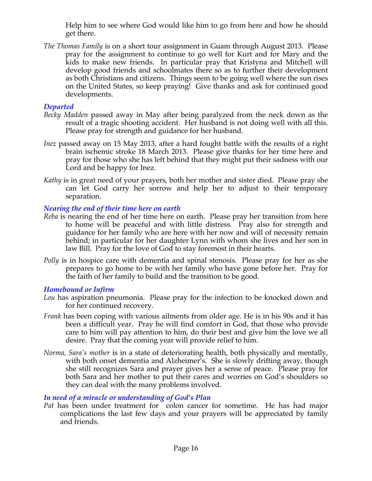Help him to see where God would like him to go from here and how he should get there.

*The Thomas Family* is on a short tour assignment in Guam through August 2013. Please pray for the assignment to continue to go well for Kurt and for Mary and the kids to make new friends. In particular pray that Kristyna and Mitchell will develop good friends and schoolmates there so as to further their development as both Christians and citizens. Things seem to be going well where the sun rises on the United States, so keep praying! Give thanks and ask for continued good developments.

# *Departed*

- *Becky Madden* passed away in May after being paralyzed from the neck down as the result of a tragic shooting accident. Her husband is not doing well with all this. Please pray for strength and guidance for her husband.
- *Inez* passed away on 15 May 2013, after a hard fought battle with the results of a right brain ischemic stroke 18 March 2013. Please give thanks for her time here and pray for those who she has left behind that they might put their sadness with our Lord and be happy for Inez.
- *Kathy* is in great need of your prayers, both her mother and sister died. Please pray she can let God carry her sorrow and help her to adjust to their temporary separation.

# *Nearing the end of their time here on earth*

- *Reba* is nearing the end of her time here on earth. Please pray her transition from here to home will be peaceful and with little distress. Pray also for strength and guidance for her family who are here with her now and will of necessity remain behind; in particular for her daughter Lynn with whom she lives and her son in law Bill. Pray for the love of God to stay foremost in their hearts.
- *Polly* is in hospice care with dementia and spinal stenosis. Please pray for her as she prepares to go home to be with her family who have gone before her. Pray for the faith of her family to build and the transition to be good.

# *Homebound or Infirm*

- *Lou* has aspiration pneumonia. Please pray for the infection to be knocked down and for her continued recovery.
- *Frank* has been coping with various ailments from older age. He is in his 90s and it has been a difficult year. Pray he will find comfort in God, that those who provide care to him will pay attention to him, do their best and give him the love we all desire. Pray that the coming year will provide relief to him.
- *Norma, Sara's mother* is in a state of deteriorating health, both physically and mentally, with both onset dementia and Alzheimer's. She is slowly drifting away, though she still recognizes Sara and prayer gives her a sense of peace. Please pray for both Sara and her mother to put their cares and worries on God's shoulders so they can deal with the many problems involved.

# *In need of a miracle or understanding of God's Plan*

*Pat* has been under treatment for colon cancer for sometime. He has had major complications the last few days and your prayers will be appreciated by family and friends.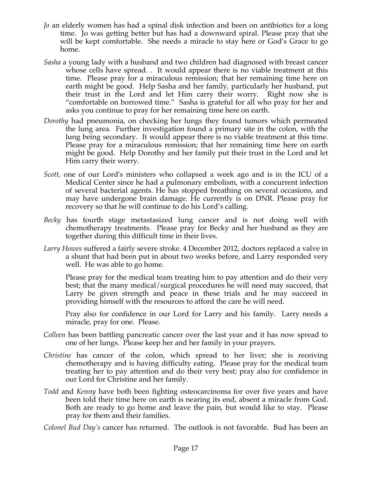- *Jo* an elderly women has had a spinal disk infection and been on antibiotics for a long time. Jo was getting better but has had a downward spiral. Please pray that she will be kept comfortable. She needs a miracle to stay here or God's Grace to go home.
- *Sasha* a young lady with a husband and two children had diagnosed with breast cancer whose cells have spread. . It would appear there is no viable treatment at this time. Please pray for a miraculous remission; that her remaining time here on earth might be good. Help Sasha and her family, particularly her husband, put their trust in the Lord and let Him carry their worry. Right now she is "comfortable on borrowed time." Sasha is grateful for all who pray for her and asks you continue to pray for her remaining time here on earth.
- *Dorothy* had pneumonia, on checking her lungs they found tumors which permeated the lung area. Further investigation found a primary site in the colon, with the lung being secondary. It would appear there is no viable treatment at this time. Please pray for a miraculous remission; that her remaining time here on earth might be good. Help Dorothy and her family put their trust in the Lord and let Him carry their worry.
- *Scott,* one of our Lord's ministers who collapsed a week ago and is in the ICU of a Medical Center since he had a pulmonary embolism, with a concurrent infection of several bacterial agents. He has stopped breathing on several occasions, and may have undergone brain damage. He currently is on DNR. Please pray for recovery so that he will continue to do his Lord's calling*.*
- *Becky* has fourth stage metastasized lung cancer and is not doing well with chemotherapy treatments. Please pray for Becky and her husband as they are together during this difficult time in their lives.
- *Larry Howes* suffered a fairly severe stroke. 4 December 2012, doctors replaced a valve in a shunt that had been put in about two weeks before, and Larry responded very well. He was able to go home.

Please pray for the medical team treating him to pay attention and do their very best; that the many medical/surgical procedures he will need may succeed, that Larry be given strength and peace in these trials and he may succeed in providing himself with the resources to afford the care he will need.

Pray also for confidence in our Lord for Larry and his family. Larry needs a miracle, pray for one. Please.

- *Colleen* has been battling pancreatic cancer over the last year and it has now spread to one of her lungs. Please keep her and her family in your prayers.
- *Christine* has cancer of the colon, which spread to her liver; she is receiving chemotherapy and is having difficulty eating. Please pray for the medical team treating her to pay attention and do their very best; pray also for confidence in our Lord for Christine and her family.
- *Todd* and *Kenny* have both been fighting osteocarcinoma for over five years and have been told their time here on earth is nearing its end, absent a miracle from God. Both are ready to go home and leave the pain, but would like to stay. Please pray for them and their families.

*Colonel Bud Day's* cancer has returned. The outlook is not favorable. Bud has been an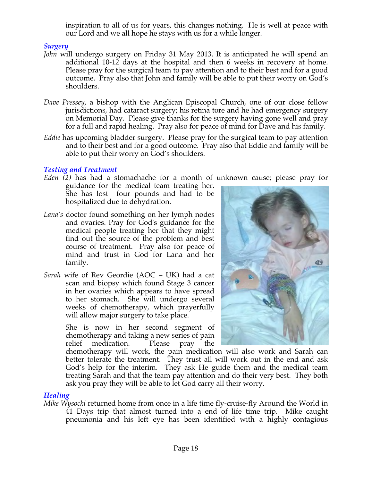inspiration to all of us for years, this changes nothing. He is well at peace with our Lord and we all hope he stays with us for a while longer.

### *Surgery*

- *John* will undergo surgery on Friday 31 May 2013. It is anticipated he will spend an additional 10-12 days at the hospital and then 6 weeks in recovery at home. Please pray for the surgical team to pay attention and to their best and for a good outcome. Pray also that John and family will be able to put their worry on God's shoulders.
- *Dave Pressey*, a bishop with the Anglican Episcopal Church, one of our close fellow jurisdictions, had cataract surgery; his retina tore and he had emergency surgery on Memorial Day. Please give thanks for the surgery having gone well and pray for a full and rapid healing. Pray also for peace of mind for Dave and his family.
- *Eddie* has upcoming bladder surgery. Please pray for the surgical team to pay attention and to their best and for a good outcome. Pray also that Eddie and family will be able to put their worry on God's shoulders.

# *Testing and Treatment*

*Eden (2)* has had a stomachache for a month of unknown cause; please pray for

guidance for the medical team treating her. She has lost four pounds and had to be hospitalized due to dehydration.

- *Lana's* doctor found something on her lymph nodes and ovaries. Pray for God's guidance for the medical people treating her that they might find out the source of the problem and best course of treatment. Pray also for peace of mind and trust in God for Lana and her family.
- *Sarah* wife of Rev Geordie (AOC UK) had a cat scan and biopsy which found Stage 3 cancer in her ovaries which appears to have spread to her stomach. She will undergo several weeks of chemotherapy, which prayerfully will allow major surgery to take place.

She is now in her second segment of chemotherapy and taking a new series of pain relief medication. Please pray the



chemotherapy will work, the pain medication will also work and Sarah can better tolerate the treatment. They trust all will work out in the end and ask God's help for the interim. They ask He guide them and the medical team treating Sarah and that the team pay attention and do their very best. They both ask you pray they will be able to let God carry all their worry.

# *Healing*

*Mike Wysocki* returned home from once in a life time fly-cruise-fly Around the World in 41 Days trip that almost turned into a end of life time trip. Mike caught pneumonia and his left eye has been identified with a highly contagious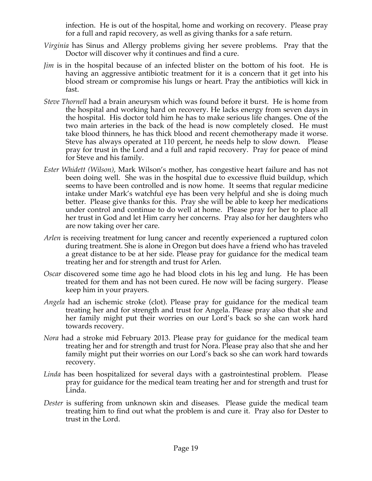infection. He is out of the hospital, home and working on recovery. Please pray for a full and rapid recovery, as well as giving thanks for a safe return.

- *Virginia* has Sinus and Allergy problems giving her severe problems. Pray that the Doctor will discover why it continues and find a cure.
- *Jim* is in the hospital because of an infected blister on the bottom of his foot. He is having an aggressive antibiotic treatment for it is a concern that it get into his blood stream or compromise his lungs or heart. Pray the antibiotics will kick in fast.
- *Steve Thornell* had a brain aneurysm which was found before it burst. He is home from the hospital and working hard on recovery. He lacks energy from seven days in the hospital. His doctor told him he has to make serious life changes. One of the two main arteries in the back of the head is now completely closed. He must take blood thinners, he has thick blood and recent chemotherapy made it worse. Steve has always operated at 110 percent, he needs help to slow down. Please pray for trust in the Lord and a full and rapid recovery. Pray for peace of mind for Steve and his family.
- *Ester Whidett (Wilson)*, Mark Wilson's mother, has congestive heart failure and has not been doing well. She was in the hospital due to excessive fluid buildup, which seems to have been controlled and is now home. It seems that regular medicine intake under Mark's watchful eye has been very helpful and she is doing much better. Please give thanks for this. Pray she will be able to keep her medications under control and continue to do well at home. Please pray for her to place all her trust in God and let Him carry her concerns. Pray also for her daughters who are now taking over her care.
- *Arlen* is receiving treatment for lung cancer and recently experienced a ruptured colon during treatment. She is alone in Oregon but does have a friend who has traveled a great distance to be at her side. Please pray for guidance for the medical team treating her and for strength and trust for Arlen.
- *Oscar* discovered some time ago he had blood clots in his leg and lung. He has been treated for them and has not been cured. He now will be facing surgery. Please keep him in your prayers.
- *Angela* had an ischemic stroke (clot). Please pray for guidance for the medical team treating her and for strength and trust for Angela. Please pray also that she and her family might put their worries on our Lord's back so she can work hard towards recovery.
- *Nora* had a stroke mid February 2013. Please pray for guidance for the medical team treating her and for strength and trust for Nora. Please pray also that she and her family might put their worries on our Lord's back so she can work hard towards recovery.
- *Linda* has been hospitalized for several days with a gastrointestinal problem. Please pray for guidance for the medical team treating her and for strength and trust for Linda.
- *Dester* is suffering from unknown skin and diseases. Please guide the medical team treating him to find out what the problem is and cure it. Pray also for Dester to trust in the Lord.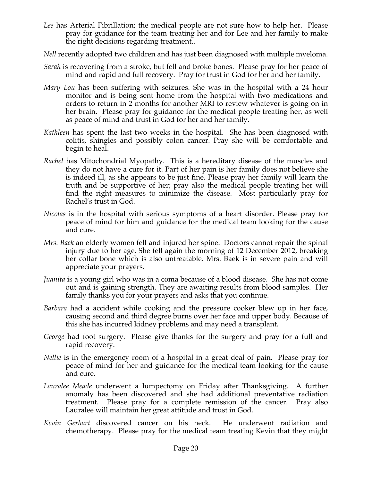- *Lee* has Arterial Fibrillation; the medical people are not sure how to help her. Please pray for guidance for the team treating her and for Lee and her family to make the right decisions regarding treatment..
- *Nell* recently adopted two children and has just been diagnosed with multiple myeloma.
- *Sarah* is recovering from a stroke, but fell and broke bones. Please pray for her peace of mind and rapid and full recovery. Pray for trust in God for her and her family.
- *Mary Lou* has been suffering with seizures. She was in the hospital with a 24 hour monitor and is being sent home from the hospital with two medications and orders to return in 2 months for another MRI to review whatever is going on in her brain. Please pray for guidance for the medical people treating her, as well as peace of mind and trust in God for her and her family.
- *Kathleen* has spent the last two weeks in the hospital. She has been diagnosed with colitis, shingles and possibly colon cancer. Pray she will be comfortable and begin to heal.
- *Rachel* has Mitochondrial Myopathy. This is a hereditary disease of the muscles and they do not have a cure for it. Part of her pain is her family does not believe she is indeed ill, as she appears to be just fine. Please pray her family will learn the truth and be supportive of her; pray also the medical people treating her will find the right measures to minimize the disease. Most particularly pray for Rachel's trust in God.
- *Nicolas* is in the hospital with serious symptoms of a heart disorder. Please pray for peace of mind for him and guidance for the medical team looking for the cause and cure.
- *Mrs. Baek* an elderly women fell and injured her spine. Doctors cannot repair the spinal injury due to her age. She fell again the morning of 12 December 2012, breaking her collar bone which is also untreatable. Mrs. Baek is in severe pain and will appreciate your prayers.
- *Juanita* is a young girl who was in a coma because of a blood disease. She has not come out and is gaining strength. They are awaiting results from blood samples. Her family thanks you for your prayers and asks that you continue.
- *Barbara* had a accident while cooking and the pressure cooker blew up in her face, causing second and third degree burns over her face and upper body. Because of this she has incurred kidney problems and may need a transplant.
- *George* had foot surgery. Please give thanks for the surgery and pray for a full and rapid recovery.
- *Nellie* is in the emergency room of a hospital in a great deal of pain. Please pray for peace of mind for her and guidance for the medical team looking for the cause and cure.
- *Lauralee Meade* underwent a lumpectomy on Friday after Thanksgiving. A further anomaly has been discovered and she had additional preventative radiation treatment. Please pray for a complete remission of the cancer. Pray also Lauralee will maintain her great attitude and trust in God.
- *Kevin Gerhart* discovered cancer on his neck. He underwent radiation and chemotherapy. Please pray for the medical team treating Kevin that they might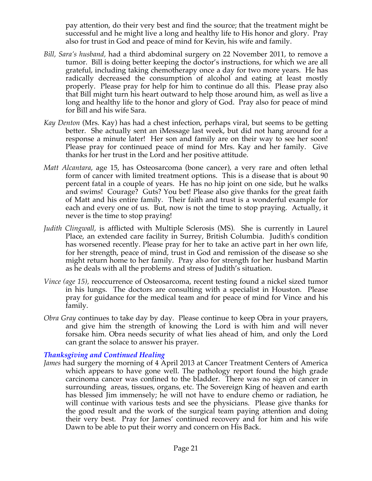pay attention, do their very best and find the source; that the treatment might be successful and he might live a long and healthy life to His honor and glory. Pray also for trust in God and peace of mind for Kevin, his wife and family.

- *Bill, Sara's husband,* had a third abdominal surgery on 22 November 2011, to remove a tumor. Bill is doing better keeping the doctor's instructions, for which we are all grateful, including taking chemotherapy once a day for two more years. He has radically decreased the consumption of alcohol and eating at least mostly properly. Please pray for help for him to continue do all this. Please pray also that Bill might turn his heart outward to help those around him, as well as live a long and healthy life to the honor and glory of God. Pray also for peace of mind for Bill and his wife Sara.
- *Kay Denton* (Mrs. Kay) has had a chest infection, perhaps viral, but seems to be getting better. She actually sent an iMessage last week, but did not hang around for a response a minute later! Her son and family are on their way to see her soon! Please pray for continued peace of mind for Mrs. Kay and her family. Give thanks for her trust in the Lord and her positive attitude.
- *Matt Alcantara*, age 15, has Osteosarcoma (bone cancer), a very rare and often lethal form of cancer with limited treatment options. This is a disease that is about 90 percent fatal in a couple of years. He has no hip joint on one side, but he walks and swims! Courage? Guts? You bet! Please also give thanks for the great faith of Matt and his entire family. Their faith and trust is a wonderful example for each and every one of us. But, now is not the time to stop praying. Actually, it never is the time to stop praying!
- *Judith Clingwall*, is afflicted with Multiple Sclerosis (MS). She is currently in Laurel Place, an extended care facility in Surrey, British Columbia. Judith's condition has worsened recently. Please pray for her to take an active part in her own life, for her strength, peace of mind, trust in God and remission of the disease so she might return home to her family. Pray also for strength for her husband Martin as he deals with all the problems and stress of Judith's situation.
- *Vince (age 15),* reoccurrence of Osteosarcoma, recent testing found a nickel sized tumor in his lungs. The doctors are consulting with a specialist in Houston. Please pray for guidance for the medical team and for peace of mind for Vince and his family.
- *Obra Gray* continues to take day by day. Please continue to keep Obra in your prayers, and give him the strength of knowing the Lord is with him and will never forsake him. Obra needs security of what lies ahead of him, and only the Lord can grant the solace to answer his prayer.

### *Thanksgiving and Continued Healing*

*James* had surgery the morning of 4 April 2013 at Cancer Treatment Centers of America which appears to have gone well. The pathology report found the high grade carcinoma cancer was confined to the bladder. There was no sign of cancer in surrounding areas, tissues, organs, etc. The Sovereign King of heaven and earth has blessed Jim immensely; he will not have to endure chemo or radiation, he will continue with various tests and see the physicians. Please give thanks for the good result and the work of the surgical team paying attention and doing their very best. Pray for James' continued recovery and for him and his wife Dawn to be able to put their worry and concern on His Back.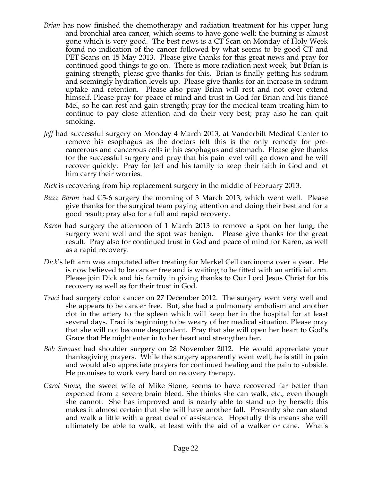- *Brian* has now finished the chemotherapy and radiation treatment for his upper lung and bronchial area cancer, which seems to have gone well; the burning is almost gone which is very good. The best news is a CT Scan on Monday of Holy Week found no indication of the cancer followed by what seems to be good CT and PET Scans on 15 May 2013. Please give thanks for this great news and pray for continued good things to go on. There is more radiation next week, but Brian is gaining strength, please give thanks for this. Brian is finally getting his sodium and seemingly hydration levels up. Please give thanks for an increase in sodium uptake and retention. Please also pray Brian will rest and not over extend himself. Please pray for peace of mind and trust in God for Brian and his fiancé Mel, so he can rest and gain strength; pray for the medical team treating him to continue to pay close attention and do their very best; pray also he can quit smoking.
- *Jeff* had successful surgery on Monday 4 March 2013, at Vanderbilt Medical Center to remove his esophagus as the doctors felt this is the only remedy for precancerous and cancerous cells in his esophagus and stomach. Please give thanks for the successful surgery and pray that his pain level will go down and he will recover quickly. Pray for Jeff and his family to keep their faith in God and let him carry their worries.
- *Rick* is recovering from hip replacement surgery in the middle of February 2013.
- *Buzz Baron* had C5-6 surgery the morning of 3 March 2013, which went well. Please give thanks for the surgical team paying attention and doing their best and for a good result; pray also for a full and rapid recovery.
- *Karen* had surgery the afternoon of 1 March 2013 to remove a spot on her lung; the surgery went well and the spot was benign. Please give thanks for the great result. Pray also for continued trust in God and peace of mind for Karen, as well as a rapid recovery.
- *Dick*'s left arm was amputated after treating for Merkel Cell carcinoma over a year. He is now believed to be cancer free and is waiting to be fitted with an artificial arm. Please join Dick and his family in giving thanks to Our Lord Jesus Christ for his recovery as well as for their trust in God.
- *Traci* had surgery colon cancer on 27 December 2012. The surgery went very well and she appears to be cancer free. But, she had a pulmonary embolism and another clot in the artery to the spleen which will keep her in the hospital for at least several days. Traci is beginning to be weary of her medical situation. Please pray that she will not become despondent. Pray that she will open her heart to God's Grace that He might enter in to her heart and strengthen her.
- *Bob Smouse* had shoulder surgery on 28 November 2012. He would appreciate your thanksgiving prayers. While the surgery apparently went well, he is still in pain and would also appreciate prayers for continued healing and the pain to subside. He promises to work very hard on recovery therapy.
- *Carol Stone*, the sweet wife of Mike Stone, seems to have recovered far better than expected from a severe brain bleed. She thinks she can walk, etc., even though she cannot. She has improved and is nearly able to stand up by herself; this makes it almost certain that she will have another fall. Presently she can stand and walk a little with a great deal of assistance. Hopefully this means she will ultimately be able to walk, at least with the aid of a walker or cane. What's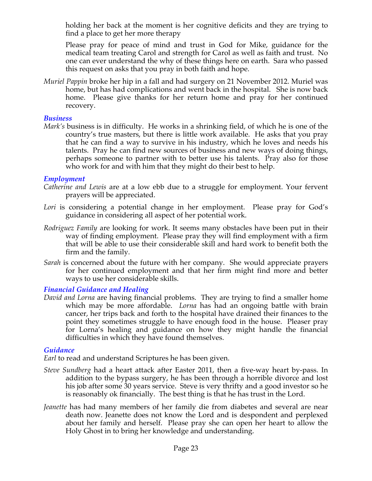holding her back at the moment is her cognitive deficits and they are trying to find a place to get her more therapy

Please pray for peace of mind and trust in God for Mike, guidance for the medical team treating Carol and strength for Carol as well as faith and trust. No one can ever understand the why of these things here on earth. Sara who passed this request on asks that you pray in both faith and hope.

*Muriel Pappin* broke her hip in a fall and had surgery on 21 November 2012. Muriel was home, but has had complications and went back in the hospital. She is now back home. Please give thanks for her return home and pray for her continued recovery.

#### *Business*

*Mark's* business is in difficulty. He works in a shrinking field, of which he is one of the country's true masters, but there is little work available. He asks that you pray that he can find a way to survive in his industry, which he loves and needs his talents. Pray he can find new sources of business and new ways of doing things, perhaps someone to partner with to better use his talents. Pray also for those who work for and with him that they might do their best to help.

### *Employment*

- *Catherine and Lewis* are at a low ebb due to a struggle for employment. Your fervent prayers will be appreciated.
- Lori is considering a potential change in her employment. Please pray for God's guidance in considering all aspect of her potential work.
- *Rodriguez Family* are looking for work. It seems many obstacles have been put in their way of finding employment. Please pray they will find employment with a firm that will be able to use their considerable skill and hard work to benefit both the firm and the family.
- *Sarah* is concerned about the future with her company. She would appreciate prayers for her continued employment and that her firm might find more and better ways to use her considerable skills.

### *Financial Guidance and Healing*

*David and Lorna* are having financial problems. They are trying to find a smaller home which may be more affordable. *Lorna* has had an ongoing battle with brain cancer, her trips back and forth to the hospital have drained their finances to the point they sometimes struggle to have enough food in the house. Pleaser pray for Lorna's healing and guidance on how they might handle the financial difficulties in which they have found themselves.

### *Guidance*

*Earl* to read and understand Scriptures he has been given.

- *Steve Sundberg* had a heart attack after Easter 2011, then a five-way heart by-pass. In addition to the bypass surgery, he has been through a horrible divorce and lost his job after some 30 years service. Steve is very thrifty and a good investor so he is reasonably ok financially. The best thing is that he has trust in the Lord.
- *Jeanette* has had many members of her family die from diabetes and several are near death now. Jeanette does not know the Lord and is despondent and perplexed about her family and herself. Please pray she can open her heart to allow the Holy Ghost in to bring her knowledge and understanding.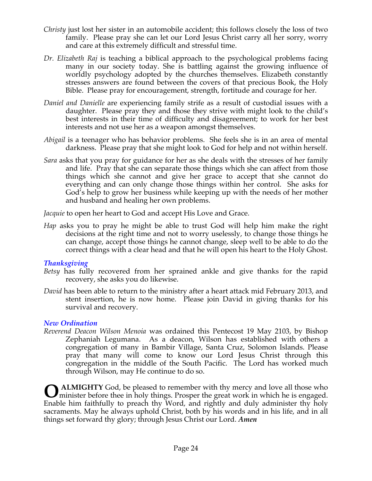- *Christy* just lost her sister in an automobile accident; this follows closely the loss of two family. Please pray she can let our Lord Jesus Christ carry all her sorry, worry and care at this extremely difficult and stressful time.
- *Dr. Elizabeth Raj* is teaching a biblical approach to the psychological problems facing many in our society today. She is battling against the growing influence of worldly psychology adopted by the churches themselves. Elizabeth constantly stresses answers are found between the covers of that precious Book, the Holy Bible. Please pray for encouragement, strength, fortitude and courage for her.
- *Daniel and Danielle* are experiencing family strife as a result of custodial issues with a daughter. Please pray they and those they strive with might look to the child's best interests in their time of difficulty and disagreement; to work for her best interests and not use her as a weapon amongst themselves.
- *Abigail* is a teenager who has behavior problems. She feels she is in an area of mental darkness. Please pray that she might look to God for help and not within herself.
- *Sara* asks that you pray for guidance for her as she deals with the stresses of her family and life. Pray that she can separate those things which she can affect from those things which she cannot and give her grace to accept that she cannot do everything and can only change those things within her control. She asks for God's help to grow her business while keeping up with the needs of her mother and husband and healing her own problems.

*Jacquie* to open her heart to God and accept His Love and Grace.

*Hap* asks you to pray he might be able to trust God will help him make the right decisions at the right time and not to worry uselessly, to change those things he can change, accept those things he cannot change, sleep well to be able to do the correct things with a clear head and that he will open his heart to the Holy Ghost.

# *Thanksgiving*

- *Betsy* has fully recovered from her sprained ankle and give thanks for the rapid recovery, she asks you do likewise.
- *David* has been able to return to the ministry after a heart attack mid February 2013, and stent insertion, he is now home. Please join David in giving thanks for his survival and recovery.

# *New Ordination*

*Reverend Deacon Wilson Menoia* was ordained this Pentecost 19 May 2103, by Bishop Zephaniah Legumana. As a deacon, Wilson has established with others a congregation of many in Bambir Village, Santa Cruz, Solomon Islands. Please pray that many will come to know our Lord Jesus Christ through this congregation in the middle of the South Pacific. The Lord has worked much through Wilson, may He continue to do so.

**ALMIGHTY** God, be pleased to remember with thy mercy and love all those who minister before thee in holy things. Prosper the great work in which he is engaged. minister before thee in holy things. Prosper the great work in which he is engaged. Enable him faithfully to preach thy Word, and rightly and duly administer thy holy sacraments. May he always uphold Christ, both by his words and in his life, and in all things set forward thy glory; through Jesus Christ our Lord. *Amen*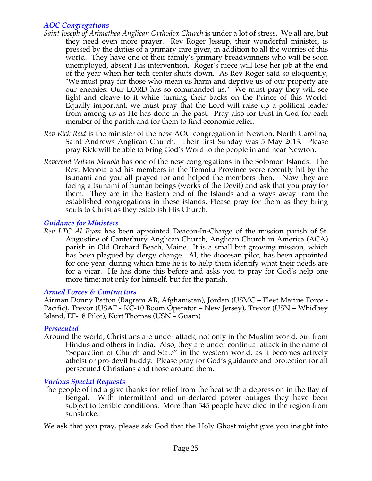# *AOC Congregations*

- *Saint Joseph of Arimathea Anglican Orthodox Church* is under a lot of stress. We all are, but they need even more prayer. Rev Roger Jessup, their wonderful minister, is pressed by the duties of a primary care giver, in addition to all the worries of this world. They have one of their family's primary breadwinners who will be soon unemployed, absent His intervention. Roger's niece will lose her job at the end of the year when her tech center shuts down. As Rev Roger said so eloquently, "We must pray for those who mean us harm and deprive us of our property are our enemies: Our LORD has so commanded us." We must pray they will see light and cleave to it while turning their backs on the Prince of this World. Equally important, we must pray that the Lord will raise up a political leader from among us as He has done in the past. Pray also for trust in God for each member of the parish and for them to find economic relief.
- *Rev Rick Reid* is the minister of the new AOC congregation in Newton, North Carolina, Saint Andrews Anglican Church. Their first Sunday was 5 May 2013. Please pray Rick will be able to bring God's Word to the people in and near Newton.
- *Reverend Wilson Menoia* has one of the new congregations in the Solomon Islands. The Rev. Menoia and his members in the Temotu Province were recently hit by the tsunami and you all prayed for and helped the members then. Now they are facing a tsunami of human beings (works of the Devil) and ask that you pray for them. They are in the Eastern end of the Islands and a ways away from the established congregations in these islands. Please pray for them as they bring souls to Christ as they establish His Church.

# *Guidance for Ministers*

*Rev LTC Al Ryan* has been appointed Deacon-In-Charge of the mission parish of St. Augustine of Canterbury Anglican Church, Anglican Church in America (ACA) parish in Old Orchard Beach, Maine. It is a small but growing mission, which has been plagued by clergy change. Al, the diocesan pilot, has been appointed for one year, during which time he is to help them identify what their needs are for a vicar. He has done this before and asks you to pray for God's help one more time; not only for himself, but for the parish.

### *Armed Forces & Contractors*

Airman Donny Patton (Bagram AB, Afghanistan), Jordan (USMC – Fleet Marine Force - Pacific), Trevor (USAF - KC-10 Boom Operator – New Jersey), Trevor (USN – Whidbey Island, EF-18 Pilot), Kurt Thomas (USN – Guam)

### *Persecuted*

Around the world, Christians are under attack, not only in the Muslim world, but from Hindus and others in India. Also, they are under continual attack in the name of "Separation of Church and State" in the western world, as it becomes actively atheist or pro-devil buddy. Please pray for God's guidance and protection for all persecuted Christians and those around them.

### *Various Special Requests*

The people of India give thanks for relief from the heat with a depression in the Bay of Bengal. With intermittent and un-declared power outages they have been subject to terrible conditions. More than 545 people have died in the region from sunstroke.

We ask that you pray, please ask God that the Holy Ghost might give you insight into